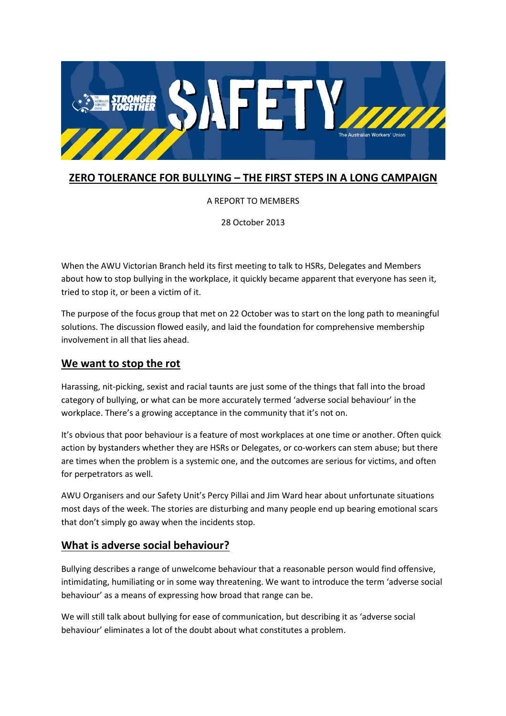

# ZERO TOLERANCE FOR BULLYING – THE FIRST STEPS IN A LONG CAMPAIGN

#### A REPORT TO MEMBERS

28 October 2013

When the AWU Victorian Branch held its first meeting to talk to HSRs, Delegates and Members about how to stop bullying in the workplace, it quickly became apparent that everyone has seen it, tried to stop it, or been a victim of it.

The purpose of the focus group that met on 22 October was to start on the long path to meaningful solutions. The discussion flowed easily, and laid the foundation for comprehensive membership involvement in all that lies ahead.

## We want to stop the rot

Harassing, nit-picking, sexist and racial taunts are just some of the things that fall into the broad category of bullying, or what can be more accurately termed 'adverse social behaviour' in the workplace. There's a growing acceptance in the community that it's not on.

It's obvious that poor behaviour is a feature of most workplaces at one time or another. Often quick action by bystanders whether they are HSRs or Delegates, or co-workers can stem abuse; but there are times when the problem is a systemic one, and the outcomes are serious for victims, and often for perpetrators as well.

AWU Organisers and our Safety Unit's Percy Pillai and Jim Ward hear about unfortunate situations most days of the week. The stories are disturbing and many people end up bearing emotional scars that don't simply go away when the incidents stop.

## What is adverse social behaviour?

Bullying describes a range of unwelcome behaviour that a reasonable person would find offensive, intimidating, humiliating or in some way threatening. We want to introduce the term 'adverse social behaviour' as a means of expressing how broad that range can be.

We will still talk about bullying for ease of communication, but describing it as 'adverse social behaviour' eliminates a lot of the doubt about what constitutes a problem.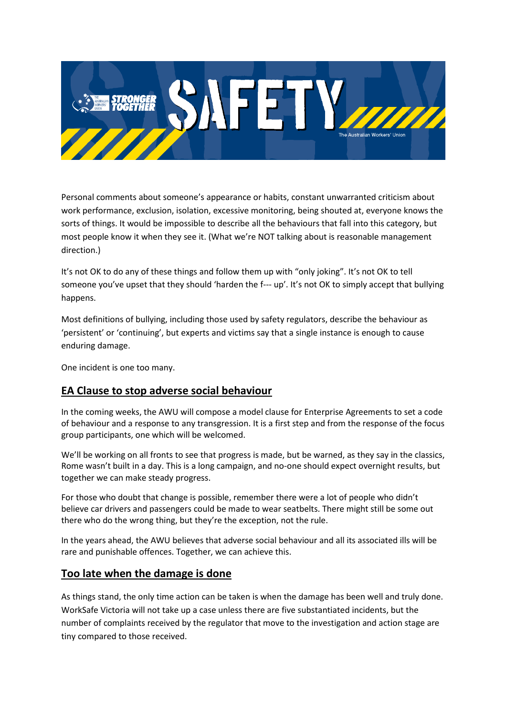

Personal comments about someone's appearance or habits, constant unwarranted criticism about work performance, exclusion, isolation, excessive monitoring, being shouted at, everyone knows the sorts of things. It would be impossible to describe all the behaviours that fall into this category, but most people know it when they see it. (What we're NOT talking about is reasonable management direction.)

It's not OK to do any of these things and follow them up with "only joking". It's not OK to tell someone you've upset that they should 'harden the f--- up'. It's not OK to simply accept that bullying happens.

Most definitions of bullying, including those used by safety regulators, describe the behaviour as 'persistent' or 'continuing', but experts and victims say that a single instance is enough to cause enduring damage.

One incident is one too many.

## EA Clause to stop adverse social behaviour

In the coming weeks, the AWU will compose a model clause for Enterprise Agreements to set a code of behaviour and a response to any transgression. It is a first step and from the response of the focus group participants, one which will be welcomed.

We'll be working on all fronts to see that progress is made, but be warned, as they say in the classics, Rome wasn't built in a day. This is a long campaign, and no-one should expect overnight results, but together we can make steady progress.

For those who doubt that change is possible, remember there were a lot of people who didn't believe car drivers and passengers could be made to wear seatbelts. There might still be some out there who do the wrong thing, but they're the exception, not the rule.

In the years ahead, the AWU believes that adverse social behaviour and all its associated ills will be rare and punishable offences. Together, we can achieve this.

## Too late when the damage is done

As things stand, the only time action can be taken is when the damage has been well and truly done. WorkSafe Victoria will not take up a case unless there are five substantiated incidents, but the number of complaints received by the regulator that move to the investigation and action stage are tiny compared to those received.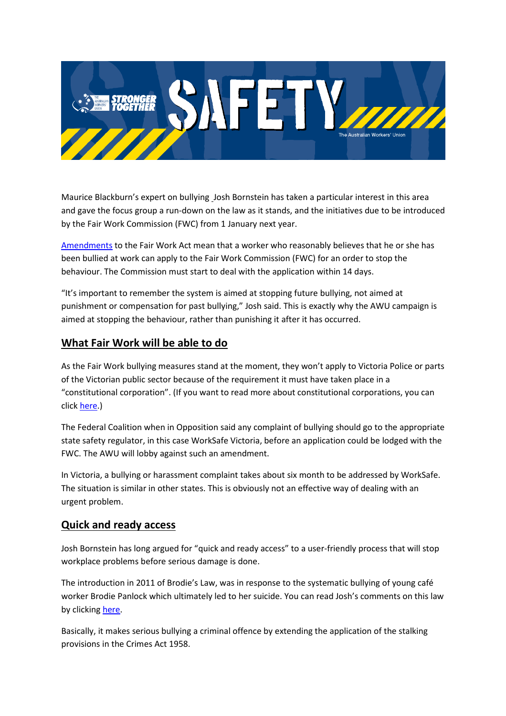

Maurice Blackburn's expert on bullying Josh Bornstein has taken a particular interest in this area and gave the focus group a run-down on the law as it stands, and the initiatives due to be introduced by the Fair Work Commission (FWC) from 1 January next year.

Amendments to the Fair Work Act mean that a worker who reasonably believes that he or she has been bullied at work can apply to the Fair Work Commission (FWC) for an order to stop the behaviour. The Commission must start to deal with the application within 14 days.

"It's important to remember the system is aimed at stopping future bullying, not aimed at punishment or compensation for past bullying," Josh said. This is exactly why the AWU campaign is aimed at stopping the behaviour, rather than punishing it after it has occurred.

## What Fair Work will be able to do

As the Fair Work bullying measures stand at the moment, they won't apply to Victoria Police or parts of the Victorian public sector because of the requirement it must have taken place in a "constitutional corporation". (If you want to read more about constitutional corporations, you can click here.)

The Federal Coalition when in Opposition said any complaint of bullying should go to the appropriate state safety regulator, in this case WorkSafe Victoria, before an application could be lodged with the FWC. The AWU will lobby against such an amendment.

In Victoria, a bullying or harassment complaint takes about six month to be addressed by WorkSafe. The situation is similar in other states. This is obviously not an effective way of dealing with an urgent problem.

## Quick and ready access

Josh Bornstein has long argued for "quick and ready access" to a user-friendly process that will stop workplace problems before serious damage is done.

The introduction in 2011 of Brodie's Law, was in response to the systematic bullying of young café worker Brodie Panlock which ultimately led to her suicide. You can read Josh's comments on this law by clicking here.

Basically, it makes serious bullying a criminal offence by extending the application of the stalking provisions in the Crimes Act 1958.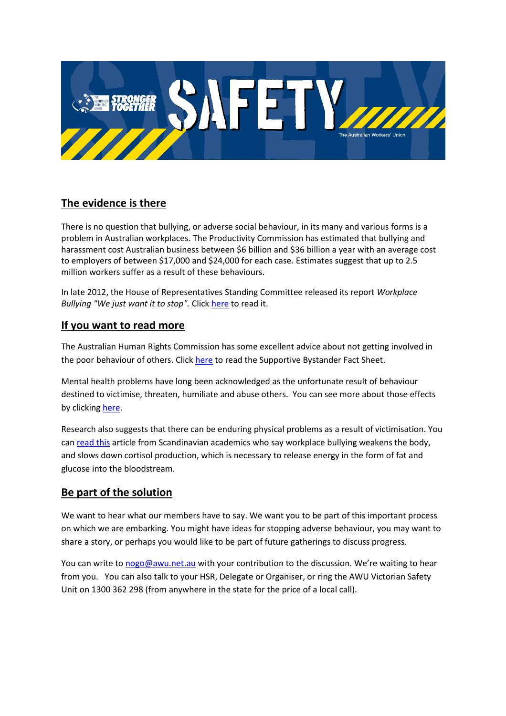

# The evidence is there

There is no question that bullying, or adverse social behaviour, in its many and various forms is a problem in Australian workplaces. The Productivity Commission has estimated that bullying and harassment cost Australian business between \$6 billion and \$36 billion a year with an average cost to employers of between \$17,000 and \$24,000 for each case. Estimates suggest that up to 2.5 million workers suffer as a result of these behaviours.

In late 2012, the House of Representatives Standing Committee released its report Workplace Bullying "We just want it to stop". Click here to read it.

# If you want to read more

The Australian Human Rights Commission has some excellent advice about not getting involved in the poor behaviour of others. Click here to read the Supportive Bystander Fact Sheet.

Mental health problems have long been acknowledged as the unfortunate result of behaviour destined to victimise, threaten, humiliate and abuse others. You can see more about those effects by clicking here.

Research also suggests that there can be enduring physical problems as a result of victimisation. You can read this article from Scandinavian academics who say workplace bullying weakens the body, and slows down cortisol production, which is necessary to release energy in the form of fat and glucose into the bloodstream.

## Be part of the solution

We want to hear what our members have to say. We want you to be part of this important process on which we are embarking. You might have ideas for stopping adverse behaviour, you may want to share a story, or perhaps you would like to be part of future gatherings to discuss progress.

You can write to nogo@awu.net.au with your contribution to the discussion. We're waiting to hear from you. You can also talk to your HSR, Delegate or Organiser, or ring the AWU Victorian Safety Unit on 1300 362 298 (from anywhere in the state for the price of a local call).